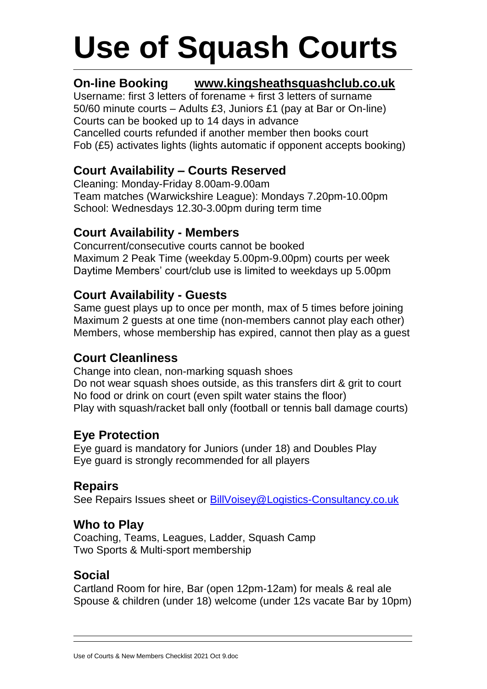# **Use of Squash Courts**

# **On-line Booking www.kingsheathsquashclub.co.uk**

Username: first 3 letters of forename + first 3 letters of surname 50/60 minute courts – Adults £3, Juniors £1 (pay at Bar or On-line) Courts can be booked up to 14 days in advance Cancelled courts refunded if another member then books court Fob (£5) activates lights (lights automatic if opponent accepts booking)

# **Court Availability – Courts Reserved**

Cleaning: Monday-Friday 8.00am-9.00am Team matches (Warwickshire League): Mondays 7.20pm-10.00pm School: Wednesdays 12.30-3.00pm during term time

#### **Court Availability - Members**

Concurrent/consecutive courts cannot be booked Maximum 2 Peak Time (weekday 5.00pm-9.00pm) courts per week Daytime Members' court/club use is limited to weekdays up 5.00pm

## **Court Availability - Guests**

Same guest plays up to once per month, max of 5 times before joining Maximum 2 quests at one time (non-members cannot play each other) Members, whose membership has expired, cannot then play as a guest

#### **Court Cleanliness**

Change into clean, non-marking squash shoes Do not wear squash shoes outside, as this transfers dirt & grit to court No food or drink on court (even spilt water stains the floor) Play with squash/racket ball only (football or tennis ball damage courts)

#### **Eye Protection**

Eye guard is mandatory for Juniors (under 18) and Doubles Play Eye guard is strongly recommended for all players

#### **Repairs**

See Repairs Issues sheet or [BillVoisey@Logistics-Consultancy.co.uk](mailto:BillVoisey@Logistics-Consultancy.co.uk)

## **Who to Play**

Coaching, Teams, Leagues, Ladder, Squash Camp Two Sports & Multi-sport membership

#### **Social**

Cartland Room for hire, Bar (open 12pm-12am) for meals & real ale Spouse & children (under 18) welcome (under 12s vacate Bar by 10pm)